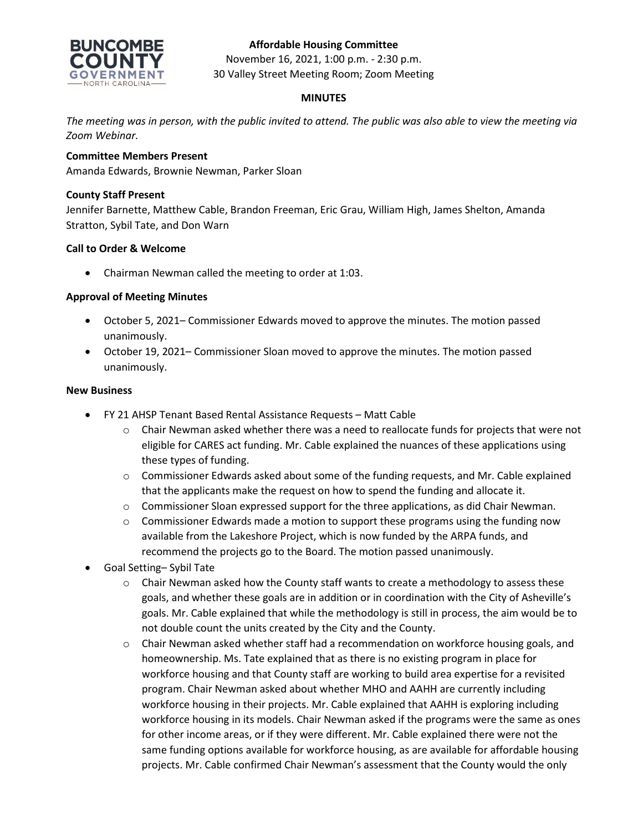## **Affordable Housing Committee**



November 16, 2021, 1:00 p.m. - 2:30 p.m. 30 Valley Street Meeting Room; Zoom Meeting

### **MINUTES**

*The meeting was in person, with the public invited to attend. The public was also able to view the meeting via Zoom Webinar.*

### **Committee Members Present**

Amanda Edwards, Brownie Newman, Parker Sloan

### **County Staff Present**

Jennifer Barnette, Matthew Cable, Brandon Freeman, Eric Grau, William High, James Shelton, Amanda Stratton, Sybil Tate, and Don Warn

### **Call to Order & Welcome**

• Chairman Newman called the meeting to order at 1:03.

### **Approval of Meeting Minutes**

- October 5, 2021– Commissioner Edwards moved to approve the minutes. The motion passed unanimously.
- October 19, 2021– Commissioner Sloan moved to approve the minutes. The motion passed unanimously.

#### **New Business**

- FY 21 AHSP Tenant Based Rental Assistance Requests Matt Cable
	- $\circ$  Chair Newman asked whether there was a need to reallocate funds for projects that were not eligible for CARES act funding. Mr. Cable explained the nuances of these applications using these types of funding.
	- $\circ$  Commissioner Edwards asked about some of the funding requests, and Mr. Cable explained that the applicants make the request on how to spend the funding and allocate it.
	- $\circ$  Commissioner Sloan expressed support for the three applications, as did Chair Newman.
	- $\circ$  Commissioner Edwards made a motion to support these programs using the funding now available from the Lakeshore Project, which is now funded by the ARPA funds, and recommend the projects go to the Board. The motion passed unanimously.
- Goal Setting– Sybil Tate
	- $\circ$  Chair Newman asked how the County staff wants to create a methodology to assess these goals, and whether these goals are in addition or in coordination with the City of Asheville's goals. Mr. Cable explained that while the methodology is still in process, the aim would be to not double count the units created by the City and the County.
	- $\circ$  Chair Newman asked whether staff had a recommendation on workforce housing goals, and homeownership. Ms. Tate explained that as there is no existing program in place for workforce housing and that County staff are working to build area expertise for a revisited program. Chair Newman asked about whether MHO and AAHH are currently including workforce housing in their projects. Mr. Cable explained that AAHH is exploring including workforce housing in its models. Chair Newman asked if the programs were the same as ones for other income areas, or if they were different. Mr. Cable explained there were not the same funding options available for workforce housing, as are available for affordable housing projects. Mr. Cable confirmed Chair Newman's assessment that the County would the only